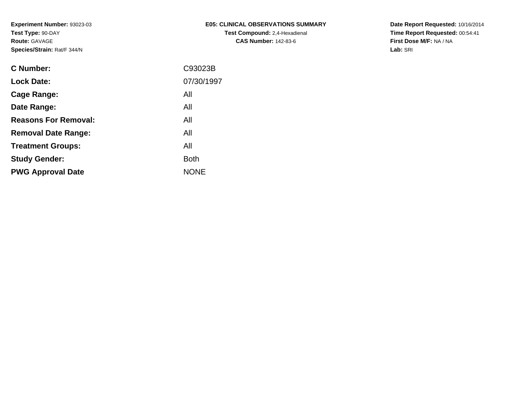| E05: CLINICAL OBSERVATIONS SUMMARY   |
|--------------------------------------|
| <b>Test Compound: 2.4-Hexadienal</b> |
| <b>CAS Number: 142-83-6</b>          |

**Date Report Requested:** 10/16/2014 **Time Report Requested:** 00:54:41**First Dose M/F:** NA / NA**Lab:** SRI

| <b>Lock Date:</b><br>All<br>Cage Range:<br>All<br>Date Range:<br><b>Reasons For Removal:</b><br>All<br>All<br><b>Removal Date Range:</b><br>All<br><b>Treatment Groups:</b><br><b>Both</b><br><b>Study Gender:</b><br><b>NONE</b><br><b>PWG Approval Date</b> | <b>C</b> Number: | C93023B    |
|---------------------------------------------------------------------------------------------------------------------------------------------------------------------------------------------------------------------------------------------------------------|------------------|------------|
|                                                                                                                                                                                                                                                               |                  | 07/30/1997 |
|                                                                                                                                                                                                                                                               |                  |            |
|                                                                                                                                                                                                                                                               |                  |            |
|                                                                                                                                                                                                                                                               |                  |            |
|                                                                                                                                                                                                                                                               |                  |            |
|                                                                                                                                                                                                                                                               |                  |            |
|                                                                                                                                                                                                                                                               |                  |            |
|                                                                                                                                                                                                                                                               |                  |            |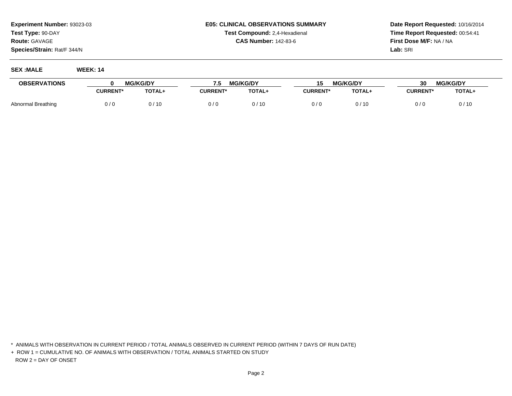## **E05: CLINICAL OBSERVATIONS SUMMARYTest Compound:** 2,4-Hexadienal **CAS Number:** 142-83-6

**Date Report Requested:** 10/16/2014**Time Report Requested:** 00:54:41**First Dose M/F:** NA / NA**Lab:** SRI

**SEX :MALE WEEK: 14**

| <b>OBSERVATIONS</b> | <b>MG/KG/DY</b> |        | <b>MG/KG/DY</b><br>7.5 |               | <b>MG/KG/DY</b><br>J J |               | <b>MG/KG/DY</b><br>30 |        |
|---------------------|-----------------|--------|------------------------|---------------|------------------------|---------------|-----------------------|--------|
|                     | <b>CURRENT*</b> | TOTAL+ | <b>CURRENT*</b>        | <b>TOTAL+</b> | <b>CURRENT*</b>        | <b>TOTAL+</b> | <b>CURRENT*</b>       | TOTAL+ |
| Abnormal Breathing  | 0 / 0           | 0 / 10 | 0/1                    | 0/10          | 0/6                    | 0 / 10        | 0/0                   | 0/10   |

<sup>\*</sup> ANIMALS WITH OBSERVATION IN CURRENT PERIOD / TOTAL ANIMALS OBSERVED IN CURRENT PERIOD (WITHIN 7 DAYS OF RUN DATE)

<sup>+</sup> ROW 1 = CUMULATIVE NO. OF ANIMALS WITH OBSERVATION / TOTAL ANIMALS STARTED ON STUDYROW 2 = DAY OF ONSET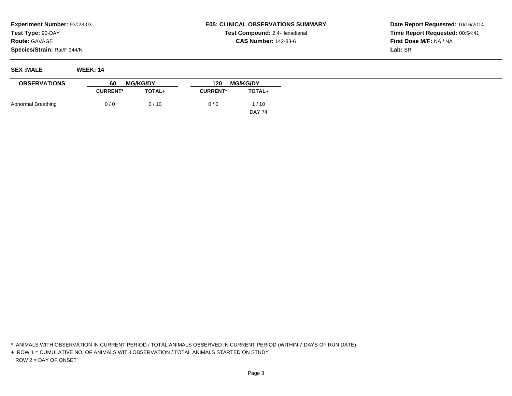## **E05: CLINICAL OBSERVATIONS SUMMARYTest Compound:** 2,4-Hexadienal **CAS Number:** 142-83-6

**Date Report Requested:** 10/16/2014**Time Report Requested:** 00:54:41**First Dose M/F:** NA / NA**Lab:** SRI

**SEX :MALE WEEK: 14**

| <b>OBSERVATIONS</b> | 60              | <b>MG/KG/DY</b> | 120             | <b>MG/KG/DY</b> |  |
|---------------------|-----------------|-----------------|-----------------|-----------------|--|
|                     | <b>CURRENT*</b> | <b>TOTAL+</b>   | <b>CURRENT*</b> | <b>TOTAL+</b>   |  |
| Abnormal Breathing  | 0/0             | 0/10            | 0/0             | 1/10            |  |
|                     |                 |                 |                 | <b>DAY 74</b>   |  |

\* ANIMALS WITH OBSERVATION IN CURRENT PERIOD / TOTAL ANIMALS OBSERVED IN CURRENT PERIOD (WITHIN 7 DAYS OF RUN DATE)

+ ROW 1 = CUMULATIVE NO. OF ANIMALS WITH OBSERVATION / TOTAL ANIMALS STARTED ON STUDYROW 2 = DAY OF ONSET